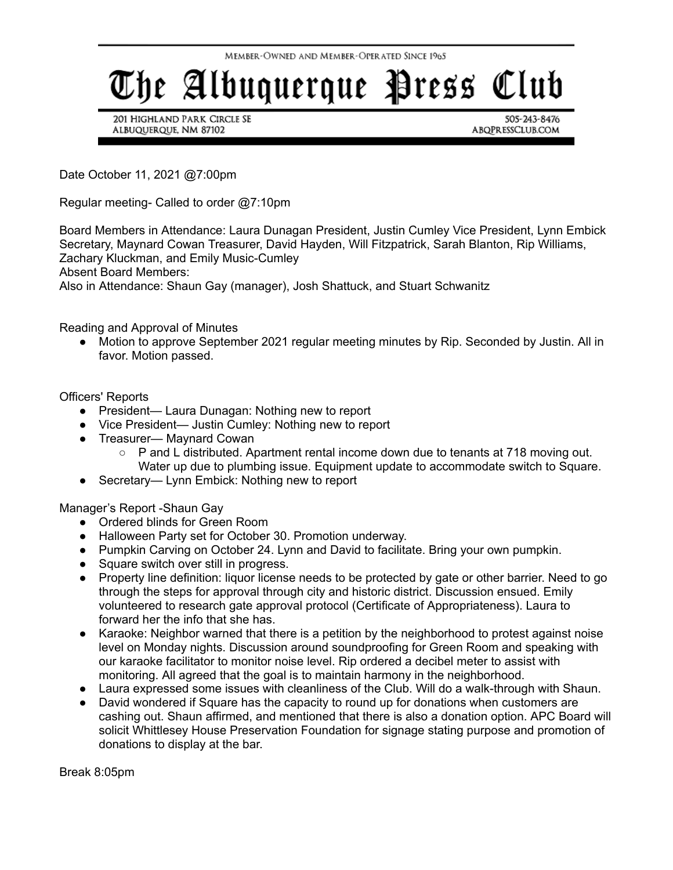## The Albuquerque Press Club

201 Highland Park Circle SE ALBUQUERQUE, NM 87102

505-243-8476 ABQPRESSCLUB.COM

Date October 11, 2021 @7:00pm

Regular meeting- Called to order @7:10pm

Board Members in Attendance: Laura Dunagan President, Justin Cumley Vice President, Lynn Embick Secretary, Maynard Cowan Treasurer, David Hayden, Will Fitzpatrick, Sarah Blanton, Rip Williams, Zachary Kluckman, and Emily Music-Cumley

Absent Board Members:

Also in Attendance: Shaun Gay (manager), Josh Shattuck, and Stuart Schwanitz

Reading and Approval of Minutes

● Motion to approve September 2021 regular meeting minutes by Rip. Seconded by Justin. All in favor. Motion passed.

## Officers' Reports

- President— Laura Dunagan: Nothing new to report
- Vice President— Justin Cumley: Nothing new to report
- Treasurer— Maynard Cowan
	- P and L distributed. Apartment rental income down due to tenants at 718 moving out. Water up due to plumbing issue. Equipment update to accommodate switch to Square.
- Secretary— Lynn Embick: Nothing new to report

Manager's Report -Shaun Gay

- Ordered blinds for Green Room
- Halloween Party set for October 30. Promotion underway.
- Pumpkin Carving on October 24. Lynn and David to facilitate. Bring your own pumpkin.
- Square switch over still in progress.
- Property line definition: liquor license needs to be protected by gate or other barrier. Need to go through the steps for approval through city and historic district. Discussion ensued. Emily volunteered to research gate approval protocol (Certificate of Appropriateness). Laura to forward her the info that she has.
- Karaoke: Neighbor warned that there is a petition by the neighborhood to protest against noise level on Monday nights. Discussion around soundproofing for Green Room and speaking with our karaoke facilitator to monitor noise level. Rip ordered a decibel meter to assist with monitoring. All agreed that the goal is to maintain harmony in the neighborhood.
- Laura expressed some issues with cleanliness of the Club. Will do a walk-through with Shaun.
- David wondered if Square has the capacity to round up for donations when customers are cashing out. Shaun affirmed, and mentioned that there is also a donation option. APC Board will solicit Whittlesey House Preservation Foundation for signage stating purpose and promotion of donations to display at the bar.

Break 8:05pm